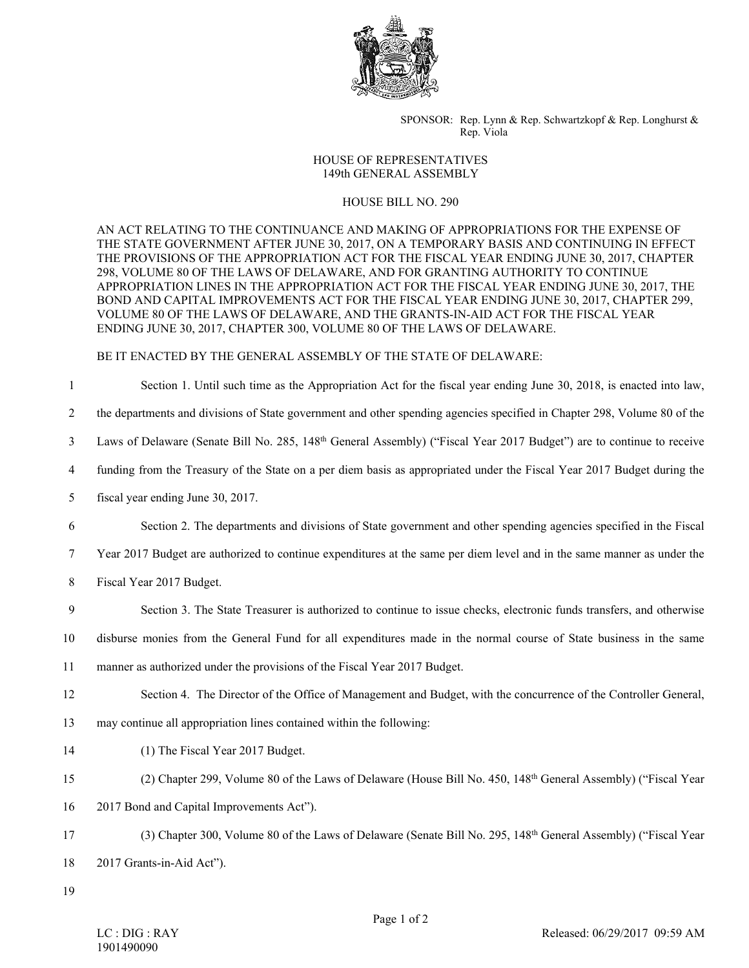

SPONSOR: Rep. Lynn & Rep. Schwartzkopf & Rep. Longhurst & Rep. Viola

## HOUSE OF REPRESENTATIVES 149th GENERAL ASSEMBLY

## HOUSE BILL NO. 290

AN ACT RELATING TO THE CONTINUANCE AND MAKING OF APPROPRIATIONS FOR THE EXPENSE OF THE STATE GOVERNMENT AFTER JUNE 30, 2017, ON A TEMPORARY BASIS AND CONTINUING IN EFFECT THE PROVISIONS OF THE APPROPRIATION ACT FOR THE FISCAL YEAR ENDING JUNE 30, 2017, CHAPTER 298, VOLUME 80 OF THE LAWS OF DELAWARE, AND FOR GRANTING AUTHORITY TO CONTINUE APPROPRIATION LINES IN THE APPROPRIATION ACT FOR THE FISCAL YEAR ENDING JUNE 30, 2017, THE BOND AND CAPITAL IMPROVEMENTS ACT FOR THE FISCAL YEAR ENDING JUNE 30, 2017, CHAPTER 299, VOLUME 80 OF THE LAWS OF DELAWARE, AND THE GRANTS-IN-AID ACT FOR THE FISCAL YEAR ENDING JUNE 30, 2017, CHAPTER 300, VOLUME 80 OF THE LAWS OF DELAWARE.

## BE IT ENACTED BY THE GENERAL ASSEMBLY OF THE STATE OF DELAWARE:

1 Section 1. Until such time as the Appropriation Act for the fiscal year ending June 30, 2018, is enacted into law,

2 the departments and divisions of State government and other spending agencies specified in Chapter 298, Volume 80 of the

- 3 Laws of Delaware (Senate Bill No. 285, 148th General Assembly) ("Fiscal Year 2017 Budget") are to continue to receive
- 4 funding from the Treasury of the State on a per diem basis as appropriated under the Fiscal Year 2017 Budget during the
- 5 fiscal year ending June 30, 2017.
- 6 Section 2. The departments and divisions of State government and other spending agencies specified in the Fiscal
- 7 Year 2017 Budget are authorized to continue expenditures at the same per diem level and in the same manner as under the
- 8 Fiscal Year 2017 Budget.
- 9 Section 3. The State Treasurer is authorized to continue to issue checks, electronic funds transfers, and otherwise
- 10 disburse monies from the General Fund for all expenditures made in the normal course of State business in the same
- 11 manner as authorized under the provisions of the Fiscal Year 2017 Budget.
- 12 Section 4. The Director of the Office of Management and Budget, with the concurrence of the Controller General,
- 13 may continue all appropriation lines contained within the following:
- 14 (1) The Fiscal Year 2017 Budget.
- 15 (2) Chapter 299, Volume 80 of the Laws of Delaware (House Bill No. 450, 148th General Assembly) ("Fiscal Year
- 16 2017 Bond and Capital Improvements Act").
- 17 (3) Chapter 300, Volume 80 of the Laws of Delaware (Senate Bill No. 295, 148th General Assembly) ("Fiscal Year
- 18 2017 Grants-in-Aid Act").
- 19